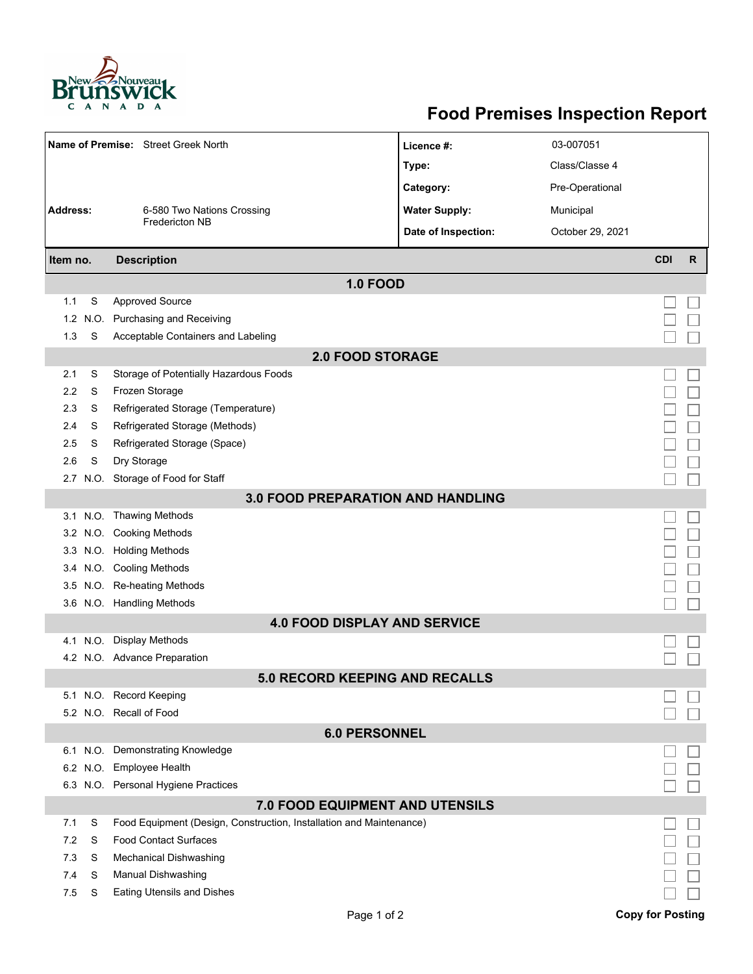

## **Food Premises Inspection Report**

|                                               |        | Name of Premise: Street Greek North                                                                 | Licence #:                            | 03-007051        |                         |              |  |  |  |  |
|-----------------------------------------------|--------|-----------------------------------------------------------------------------------------------------|---------------------------------------|------------------|-------------------------|--------------|--|--|--|--|
|                                               |        |                                                                                                     | Type:                                 | Class/Classe 4   |                         |              |  |  |  |  |
|                                               |        |                                                                                                     | Category:                             | Pre-Operational  |                         |              |  |  |  |  |
| <b>Address:</b><br>6-580 Two Nations Crossing |        |                                                                                                     | <b>Water Supply:</b>                  | Municipal        |                         |              |  |  |  |  |
|                                               |        | <b>Fredericton NB</b>                                                                               | Date of Inspection:                   |                  |                         |              |  |  |  |  |
|                                               |        |                                                                                                     |                                       | October 29, 2021 |                         |              |  |  |  |  |
| Item no.                                      |        | <b>Description</b>                                                                                  |                                       |                  | <b>CDI</b>              | $\mathsf{R}$ |  |  |  |  |
|                                               |        |                                                                                                     | <b>1.0 FOOD</b>                       |                  |                         |              |  |  |  |  |
| 1.1                                           | S      | <b>Approved Source</b>                                                                              |                                       |                  |                         |              |  |  |  |  |
| 1.2                                           | N.O.   | <b>Purchasing and Receiving</b>                                                                     |                                       |                  |                         |              |  |  |  |  |
| 1.3                                           | S      | Acceptable Containers and Labeling                                                                  |                                       |                  |                         |              |  |  |  |  |
| <b>2.0 FOOD STORAGE</b>                       |        |                                                                                                     |                                       |                  |                         |              |  |  |  |  |
| 2.1                                           | S      | Storage of Potentially Hazardous Foods                                                              |                                       |                  |                         |              |  |  |  |  |
| 2.2                                           | S      | Frozen Storage                                                                                      |                                       |                  |                         |              |  |  |  |  |
| 2.3                                           | S      | Refrigerated Storage (Temperature)                                                                  |                                       |                  |                         |              |  |  |  |  |
| 2.4                                           | S      | Refrigerated Storage (Methods)                                                                      |                                       |                  |                         |              |  |  |  |  |
| 2.5                                           | S      | Refrigerated Storage (Space)                                                                        |                                       |                  |                         |              |  |  |  |  |
| 2.6                                           | S      | Dry Storage                                                                                         |                                       |                  |                         |              |  |  |  |  |
| 2.7                                           |        | N.O. Storage of Food for Staff                                                                      |                                       |                  |                         |              |  |  |  |  |
| <b>3.0 FOOD PREPARATION AND HANDLING</b>      |        |                                                                                                     |                                       |                  |                         |              |  |  |  |  |
|                                               |        | 3.1 N.O. Thawing Methods                                                                            |                                       |                  |                         |              |  |  |  |  |
|                                               |        | 3.2 N.O. Cooking Methods                                                                            |                                       |                  |                         |              |  |  |  |  |
|                                               |        | 3.3 N.O. Holding Methods                                                                            |                                       |                  |                         |              |  |  |  |  |
|                                               |        | 3.4 N.O. Cooling Methods                                                                            |                                       |                  |                         |              |  |  |  |  |
| 3.5                                           |        | N.O. Re-heating Methods                                                                             |                                       |                  |                         |              |  |  |  |  |
|                                               |        | 3.6 N.O. Handling Methods                                                                           |                                       |                  |                         |              |  |  |  |  |
|                                               |        |                                                                                                     | <b>4.0 FOOD DISPLAY AND SERVICE</b>   |                  |                         |              |  |  |  |  |
|                                               |        | 4.1 N.O. Display Methods                                                                            |                                       |                  |                         |              |  |  |  |  |
|                                               |        | 4.2 N.O. Advance Preparation                                                                        |                                       |                  |                         |              |  |  |  |  |
|                                               |        |                                                                                                     | <b>5.0 RECORD KEEPING AND RECALLS</b> |                  |                         |              |  |  |  |  |
|                                               |        | 5.1 N.O. Record Keeping                                                                             |                                       |                  |                         |              |  |  |  |  |
|                                               |        | 5.2 N.O. Recall of Food                                                                             |                                       |                  |                         |              |  |  |  |  |
| <b>6.0 PERSONNEL</b>                          |        |                                                                                                     |                                       |                  |                         |              |  |  |  |  |
|                                               |        | 6.1 N.O. Demonstrating Knowledge                                                                    |                                       |                  |                         |              |  |  |  |  |
|                                               |        | 6.2 N.O. Employee Health                                                                            |                                       |                  |                         |              |  |  |  |  |
|                                               |        | 6.3 N.O. Personal Hygiene Practices                                                                 |                                       |                  |                         |              |  |  |  |  |
| 7.0 FOOD EQUIPMENT AND UTENSILS               |        |                                                                                                     |                                       |                  |                         |              |  |  |  |  |
| 7.1                                           | S      | Food Equipment (Design, Construction, Installation and Maintenance)<br><b>Food Contact Surfaces</b> |                                       |                  |                         |              |  |  |  |  |
| 7.2                                           | S      |                                                                                                     |                                       |                  |                         |              |  |  |  |  |
| 7.3<br>7.4                                    | S<br>S | <b>Mechanical Dishwashing</b>                                                                       |                                       |                  |                         |              |  |  |  |  |
| 7.5                                           | S      | Manual Dishwashing<br><b>Eating Utensils and Dishes</b>                                             |                                       |                  |                         |              |  |  |  |  |
|                                               |        |                                                                                                     |                                       |                  |                         |              |  |  |  |  |
|                                               |        |                                                                                                     | Page 1 of 2                           |                  | <b>Copy for Posting</b> |              |  |  |  |  |